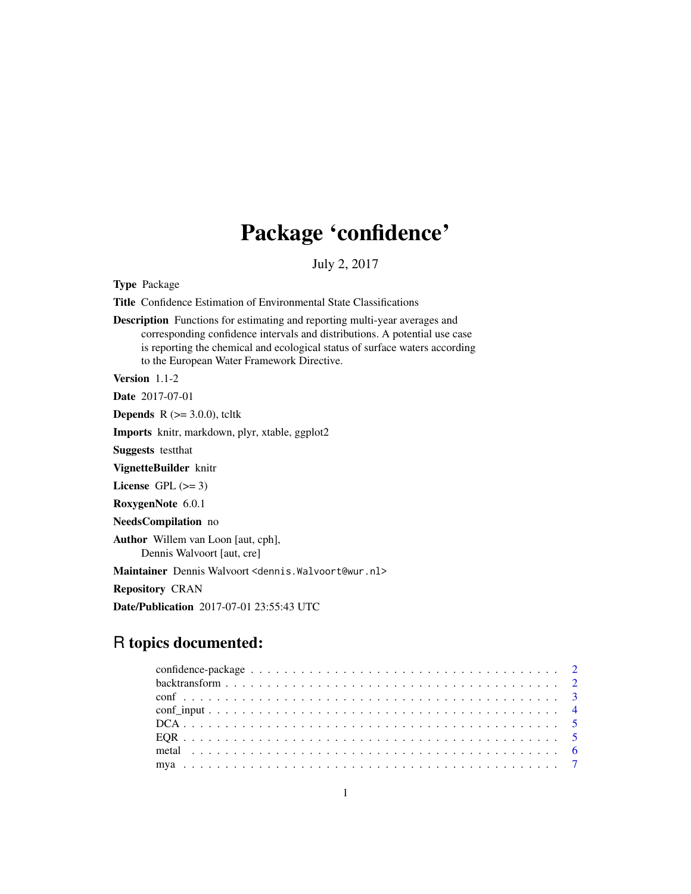# Package 'confidence'

July 2, 2017

<span id="page-0-0"></span>Type Package

Title Confidence Estimation of Environmental State Classifications

Description Functions for estimating and reporting multi-year averages and corresponding confidence intervals and distributions. A potential use case is reporting the chemical and ecological status of surface waters according to the European Water Framework Directive.

Version 1.1-2

Date 2017-07-01

**Depends** R  $(>= 3.0.0)$ , tcltk

Imports knitr, markdown, plyr, xtable, ggplot2

Suggests testthat

VignetteBuilder knitr

License GPL  $(>= 3)$ 

RoxygenNote 6.0.1

NeedsCompilation no

Author Willem van Loon [aut, cph], Dennis Walvoort [aut, cre]

Maintainer Dennis Walvoort <dennis.Walvoort@wur.nl>

Repository CRAN

Date/Publication 2017-07-01 23:55:43 UTC

# R topics documented: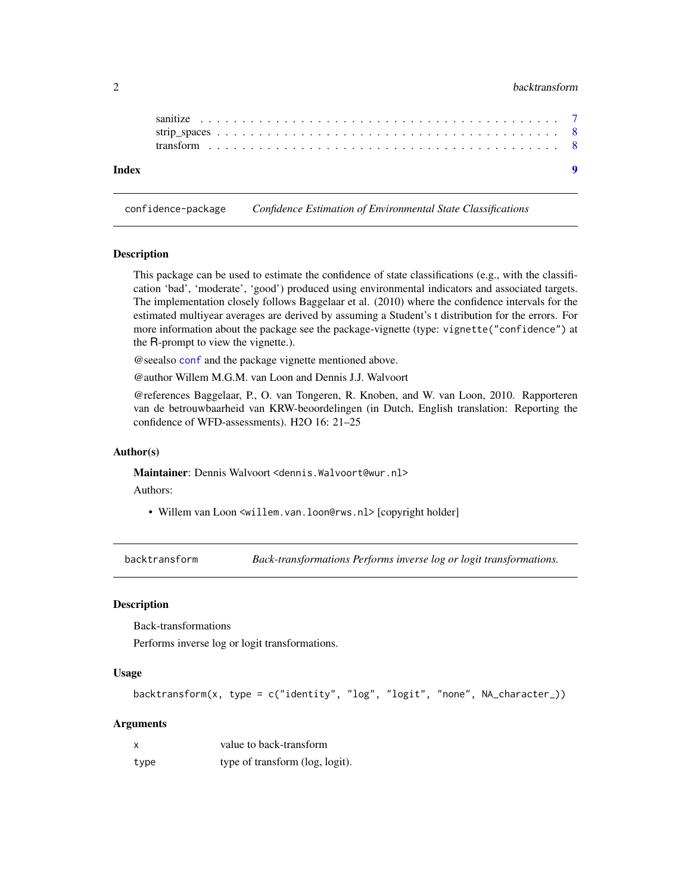### <span id="page-1-0"></span>2 backtransform

confidence-package *Confidence Estimation of Environmental State Classifications*

#### <span id="page-1-1"></span>**Description**

This package can be used to estimate the confidence of state classifications (e.g., with the classification 'bad', 'moderate', 'good') produced using environmental indicators and associated targets. The implementation closely follows Baggelaar et al. (2010) where the confidence intervals for the estimated multiyear averages are derived by assuming a Student's t distribution for the errors. For more information about the package see the package-vignette (type: vignette("confidence") at the R-prompt to view the vignette.).

@seealso [conf](#page-2-1) and the package vignette mentioned above.

@author Willem M.G.M. van Loon and Dennis J.J. Walvoort

@references Baggelaar, P., O. van Tongeren, R. Knoben, and W. van Loon, 2010. Rapporteren van de betrouwbaarheid van KRW-beoordelingen (in Dutch, English translation: Reporting the confidence of WFD-assessments). H2O 16: 21–25

#### Author(s)

Maintainer: Dennis Walvoort <dennis. Walvoort@wur.nl>

Authors:

• Willem van Loon <willem.van.loon@rws.nl>[copyright holder]

backtransform *Back-transformations Performs inverse log or logit transformations.*

#### Description

Back-transformations

Performs inverse log or logit transformations.

#### Usage

```
backtransform(x, type = c("identity", "log", "logit", "none", NA_character_))
```
#### Arguments

|      | value to back-transform         |
|------|---------------------------------|
| type | type of transform (log, logit). |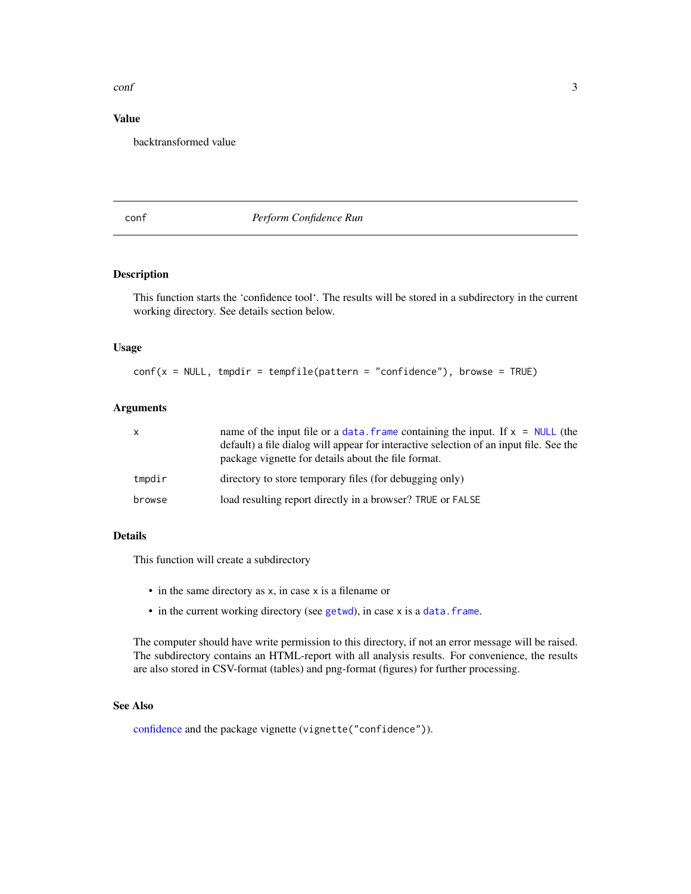#### <span id="page-2-0"></span>conf 3

# Value

backtransformed value

#### <span id="page-2-1"></span>conf *Perform Confidence Run*

# Description

This function starts the 'confidence tool'. The results will be stored in a subdirectory in the current working directory. See details section below.

#### Usage

 $conf(x = NULL, tmpdir = tempfile(pathern = "confidence"), browser = TRUE)$ 

### Arguments

| X.     | name of the input file or a data. Frame containing the input. If $x = NULL$ (the<br>default) a file dialog will appear for interactive selection of an input file. See the<br>package vignette for details about the file format. |
|--------|-----------------------------------------------------------------------------------------------------------------------------------------------------------------------------------------------------------------------------------|
| tmpdir | directory to store temporary files (for debugging only)                                                                                                                                                                           |
| browse | load resulting report directly in a browser? TRUE or FALSE                                                                                                                                                                        |

### Details

This function will create a subdirectory

- in the same directory as x, in case x is a filename or
- in the current working directory (see [getwd](#page-0-0)), in case x is a data. frame.

The computer should have write permission to this directory, if not an error message will be raised. The subdirectory contains an HTML-report with all analysis results. For convenience, the results are also stored in CSV-format (tables) and png-format (figures) for further processing.

#### See Also

[confidence](#page-1-1) and the package vignette (vignette("confidence")).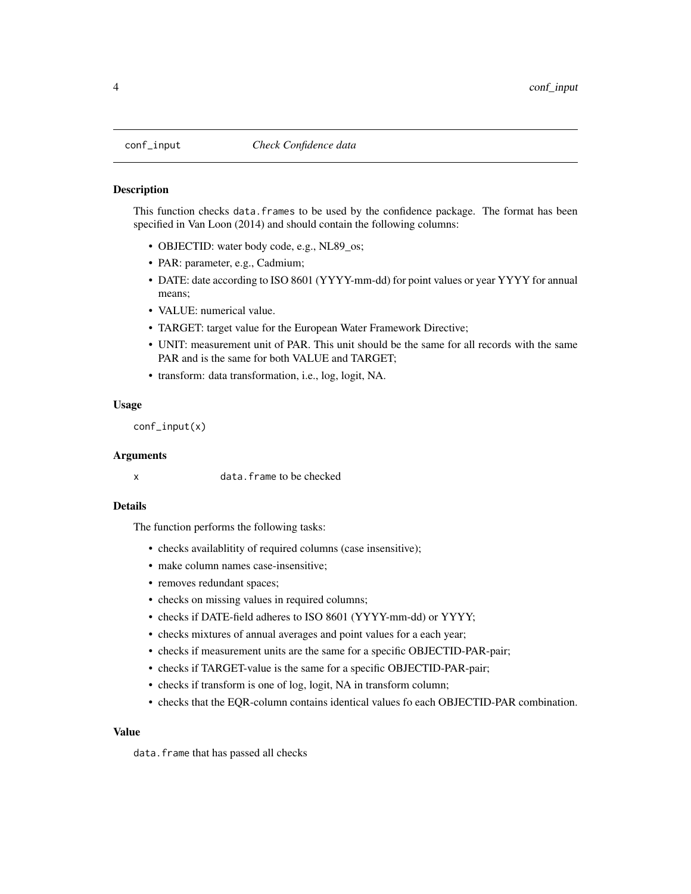<span id="page-3-1"></span><span id="page-3-0"></span>

#### **Description**

This function checks data.frames to be used by the confidence package. The format has been specified in Van Loon (2014) and should contain the following columns:

- OBJECTID: water body code, e.g., NL89\_os;
- PAR: parameter, e.g., Cadmium;
- DATE: date according to ISO 8601 (YYYY-mm-dd) for point values or year YYYY for annual means;
- VALUE: numerical value.
- TARGET: target value for the European Water Framework Directive;
- UNIT: measurement unit of PAR. This unit should be the same for all records with the same PAR and is the same for both VALUE and TARGET;
- transform: data transformation, i.e., log, logit, NA.

#### Usage

conf\_input(x)

#### Arguments

x data.frame to be checked

#### Details

The function performs the following tasks:

- checks availablitity of required columns (case insensitive);
- make column names case-insensitive;
- removes redundant spaces;
- checks on missing values in required columns;
- checks if DATE-field adheres to ISO 8601 (YYYY-mm-dd) or YYYY;
- checks mixtures of annual averages and point values for a each year;
- checks if measurement units are the same for a specific OBJECTID-PAR-pair;
- checks if TARGET-value is the same for a specific OBJECTID-PAR-pair;
- checks if transform is one of log, logit, NA in transform column;
- checks that the EQR-column contains identical values fo each OBJECTID-PAR combination.

#### Value

data.frame that has passed all checks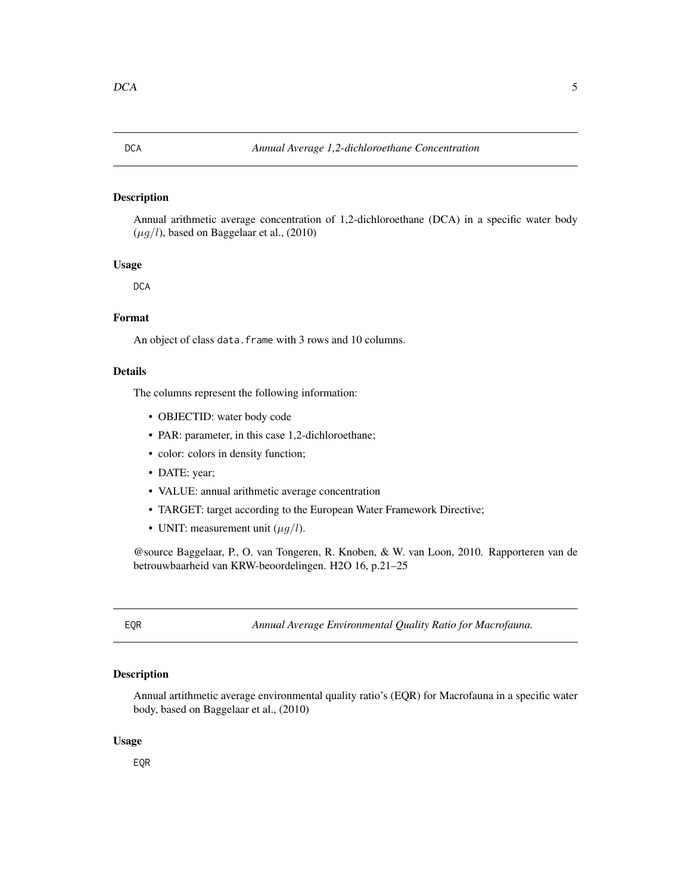# <span id="page-4-0"></span>Description

Annual arithmetic average concentration of 1,2-dichloroethane (DCA) in a specific water body  $(\mu q/l)$ , based on Baggelaar et al., (2010)

#### Usage

**DCA** 

# Format

An object of class data.frame with 3 rows and 10 columns.

#### Details

The columns represent the following information:

- OBJECTID: water body code
- PAR: parameter, in this case 1,2-dichloroethane;
- color: colors in density function;
- DATE: year;
- VALUE: annual arithmetic average concentration
- TARGET: target according to the European Water Framework Directive;
- UNIT: measurement unit  $(\mu g/l)$ .

@source Baggelaar, P., O. van Tongeren, R. Knoben, & W. van Loon, 2010. Rapporteren van de betrouwbaarheid van KRW-beoordelingen. H2O 16, p.21–25

EQR *Annual Average Environmental Quality Ratio for Macrofauna.*

# Description

Annual artithmetic average environmental quality ratio's (EQR) for Macrofauna in a specific water body, based on Baggelaar et al., (2010)

#### Usage

EQR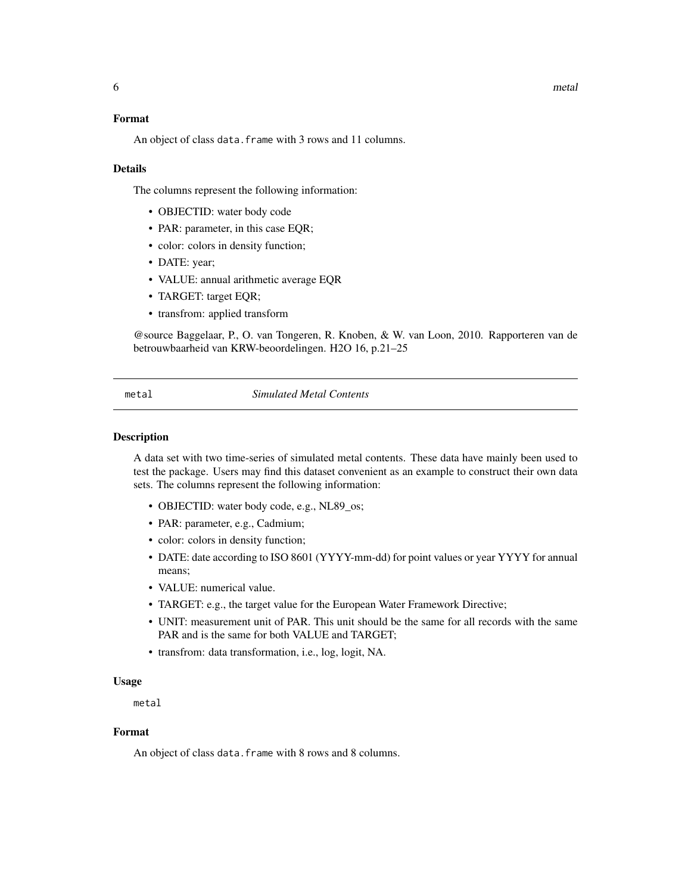#### <span id="page-5-0"></span>Format

An object of class data. frame with 3 rows and 11 columns.

#### Details

The columns represent the following information:

- OBJECTID: water body code
- PAR: parameter, in this case EQR;
- color: colors in density function;
- DATE: year;
- VALUE: annual arithmetic average EQR
- TARGET: target EQR;
- transfrom: applied transform

@source Baggelaar, P., O. van Tongeren, R. Knoben, & W. van Loon, 2010. Rapporteren van de betrouwbaarheid van KRW-beoordelingen. H2O 16, p.21–25

metal *Simulated Metal Contents*

#### Description

A data set with two time-series of simulated metal contents. These data have mainly been used to test the package. Users may find this dataset convenient as an example to construct their own data sets. The columns represent the following information:

- OBJECTID: water body code, e.g., NL89\_os;
- PAR: parameter, e.g., Cadmium;
- color: colors in density function;
- DATE: date according to ISO 8601 (YYYY-mm-dd) for point values or year YYYY for annual means;
- VALUE: numerical value.
- TARGET: e.g., the target value for the European Water Framework Directive;
- UNIT: measurement unit of PAR. This unit should be the same for all records with the same PAR and is the same for both VALUE and TARGET;
- transfrom: data transformation, i.e., log, logit, NA.

#### Usage

metal

#### Format

An object of class data.frame with 8 rows and 8 columns.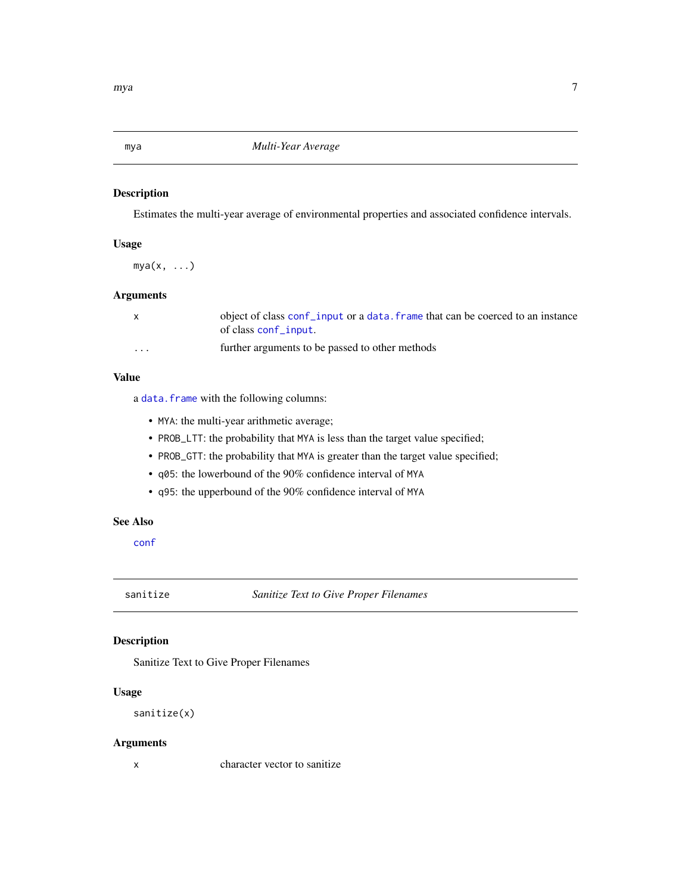# <span id="page-6-0"></span>Description

Estimates the multi-year average of environmental properties and associated confidence intervals.

# Usage

 $mya(x, \ldots)$ 

# Arguments

|          | object of class conf_input or a data. frame that can be coerced to an instance<br>of class conf_input. |
|----------|--------------------------------------------------------------------------------------------------------|
| $\cdots$ | further arguments to be passed to other methods                                                        |

# Value

a [data.frame](#page-0-0) with the following columns:

- MYA: the multi-year arithmetic average;
- PROB\_LTT: the probability that MYA is less than the target value specified;
- PROB\_GTT: the probability that MYA is greater than the target value specified;
- q05: the lowerbound of the 90% confidence interval of MYA
- q95: the upperbound of the 90% confidence interval of MYA

# See Also

[conf](#page-2-1)

sanitize *Sanitize Text to Give Proper Filenames*

# Description

Sanitize Text to Give Proper Filenames

### Usage

sanitize(x)

### Arguments

x character vector to sanitize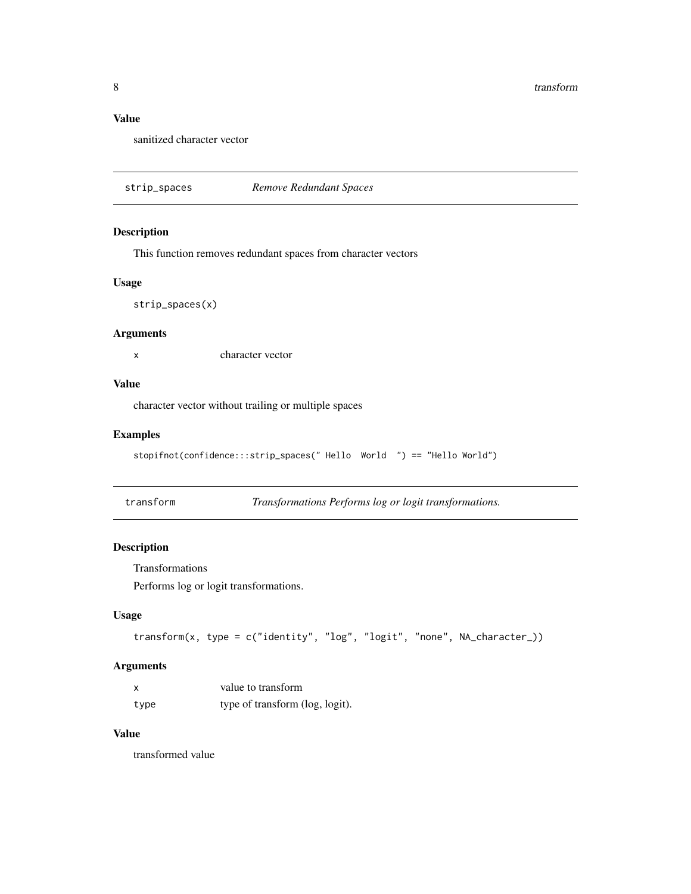# <span id="page-7-0"></span>Value

sanitized character vector

strip\_spaces *Remove Redundant Spaces*

#### Description

This function removes redundant spaces from character vectors

#### Usage

strip\_spaces(x)

#### Arguments

x character vector

#### Value

character vector without trailing or multiple spaces

# Examples

```
stopifnot(confidence:::strip_spaces(" Hello World ") == "Hello World")
```
transform *Transformations Performs log or logit transformations.*

# Description

Transformations

Performs log or logit transformations.

#### Usage

```
transform(x, type = c("identity", "log", "logit", "none", NA_character_))
```
# Arguments

|      | value to transform              |
|------|---------------------------------|
| type | type of transform (log, logit). |

# Value

transformed value